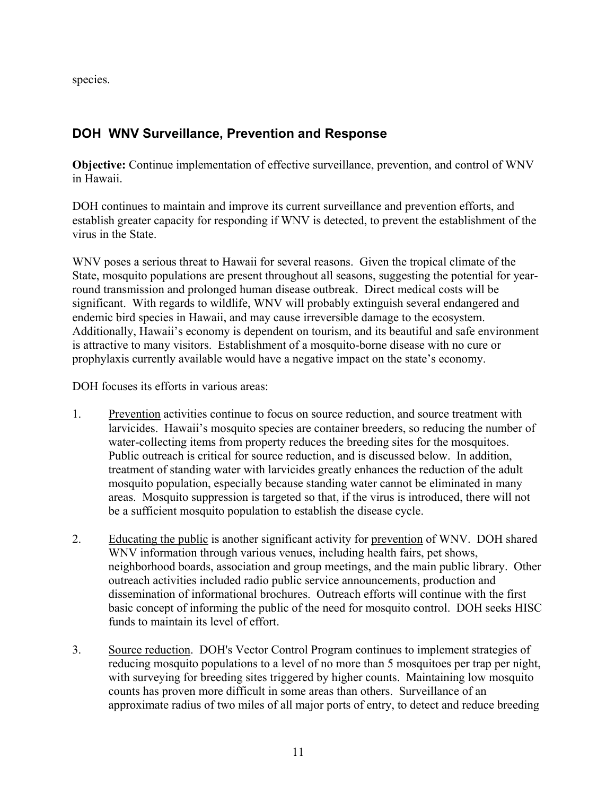species.

# **DOH WNV Surveillance, Prevention and Response**

**Objective:** Continue implementation of effective surveillance, prevention, and control of WNV in Hawaii.

DOH continues to maintain and improve its current surveillance and prevention efforts, and establish greater capacity for responding if WNV is detected, to prevent the establishment of the virus in the State.

WNV poses a serious threat to Hawaii for several reasons. Given the tropical climate of the State, mosquito populations are present throughout all seasons, suggesting the potential for yearround transmission and prolonged human disease outbreak. Direct medical costs will be significant. With regards to wildlife, WNV will probably extinguish several endangered and endemic bird species in Hawaii, and may cause irreversible damage to the ecosystem. Additionally, Hawaii's economy is dependent on tourism, and its beautiful and safe environment is attractive to many visitors. Establishment of a mosquito-borne disease with no cure or prophylaxis currently available would have a negative impact on the state's economy.

DOH focuses its efforts in various areas:

- 1. Prevention activities continue to focus on source reduction, and source treatment with larvicides. Hawaii's mosquito species are container breeders, so reducing the number of water-collecting items from property reduces the breeding sites for the mosquitoes. Public outreach is critical for source reduction, and is discussed below. In addition, treatment of standing water with larvicides greatly enhances the reduction of the adult mosquito population, especially because standing water cannot be eliminated in many areas. Mosquito suppression is targeted so that, if the virus is introduced, there will not be a sufficient mosquito population to establish the disease cycle.
- 2. Educating the public is another significant activity for prevention of WNV. DOH shared WNV information through various venues, including health fairs, pet shows, neighborhood boards, association and group meetings, and the main public library. Other outreach activities included radio public service announcements, production and dissemination of informational brochures. Outreach efforts will continue with the first basic concept of informing the public of the need for mosquito control. DOH seeks HISC funds to maintain its level of effort.
- 3. Source reduction. DOH's Vector Control Program continues to implement strategies of reducing mosquito populations to a level of no more than 5 mosquitoes per trap per night, with surveying for breeding sites triggered by higher counts. Maintaining low mosquito counts has proven more difficult in some areas than others. Surveillance of an approximate radius of two miles of all major ports of entry, to detect and reduce breeding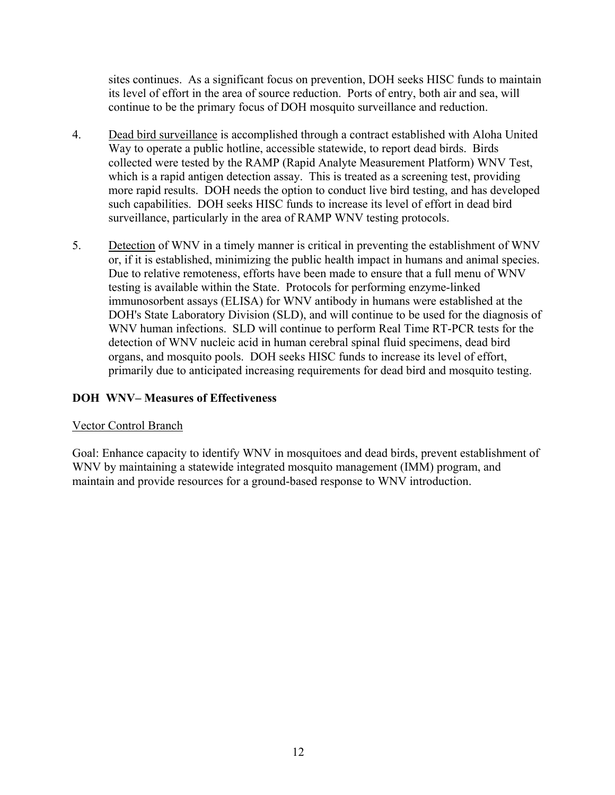sites continues. As a significant focus on prevention, DOH seeks HISC funds to maintain its level of effort in the area of source reduction. Ports of entry, both air and sea, will continue to be the primary focus of DOH mosquito surveillance and reduction.

- 4. Dead bird surveillance is accomplished through a contract established with Aloha United Way to operate a public hotline, accessible statewide, to report dead birds. Birds collected were tested by the RAMP (Rapid Analyte Measurement Platform) WNV Test, which is a rapid antigen detection assay. This is treated as a screening test, providing more rapid results. DOH needs the option to conduct live bird testing, and has developed such capabilities. DOH seeks HISC funds to increase its level of effort in dead bird surveillance, particularly in the area of RAMP WNV testing protocols.
- 5. Detection of WNV in a timely manner is critical in preventing the establishment of WNV or, if it is established, minimizing the public health impact in humans and animal species. Due to relative remoteness, efforts have been made to ensure that a full menu of WNV testing is available within the State. Protocols for performing enzyme-linked immunosorbent assays (ELISA) for WNV antibody in humans were established at the DOH's State Laboratory Division (SLD), and will continue to be used for the diagnosis of WNV human infections. SLD will continue to perform Real Time RT-PCR tests for the detection of WNV nucleic acid in human cerebral spinal fluid specimens, dead bird organs, and mosquito pools. DOH seeks HISC funds to increase its level of effort, primarily due to anticipated increasing requirements for dead bird and mosquito testing.

## **DOH WNV– Measures of Effectiveness**

### Vector Control Branch

Goal: Enhance capacity to identify WNV in mosquitoes and dead birds, prevent establishment of WNV by maintaining a statewide integrated mosquito management (IMM) program, and maintain and provide resources for a ground-based response to WNV introduction.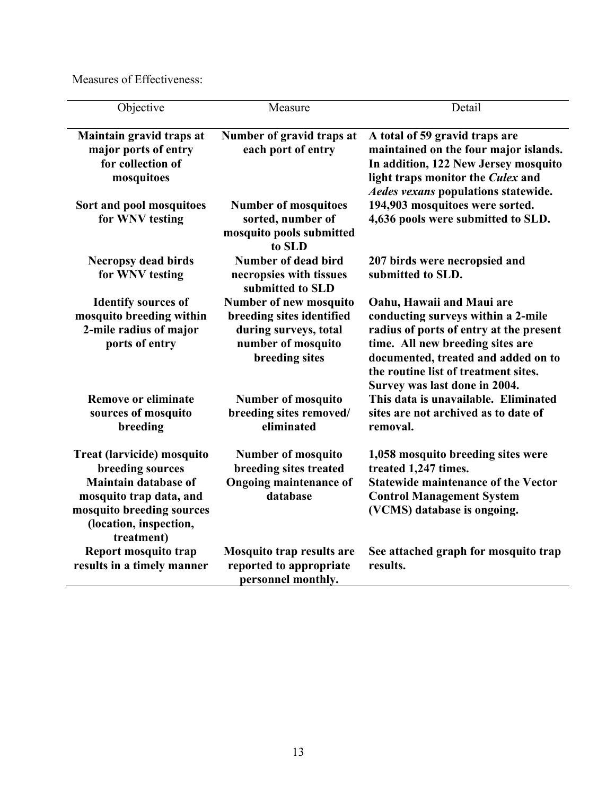Measures of Effectiveness:

| Objective                                                                                                                                                                     | Measure                                                                                                              | Detail                                                                                                                                                                                                                                                         |
|-------------------------------------------------------------------------------------------------------------------------------------------------------------------------------|----------------------------------------------------------------------------------------------------------------------|----------------------------------------------------------------------------------------------------------------------------------------------------------------------------------------------------------------------------------------------------------------|
| Maintain gravid traps at<br>major ports of entry<br>for collection of<br>mosquitoes                                                                                           | Number of gravid traps at<br>each port of entry                                                                      | A total of 59 gravid traps are<br>maintained on the four major islands.<br>In addition, 122 New Jersey mosquito<br>light traps monitor the Culex and<br><b>Aedes vexans populations statewide.</b>                                                             |
| Sort and pool mosquitoes<br>for WNV testing                                                                                                                                   | <b>Number of mosquitoes</b><br>sorted, number of<br>mosquito pools submitted<br>to SLD                               | 194,903 mosquitoes were sorted.<br>4,636 pools were submitted to SLD.                                                                                                                                                                                          |
| <b>Necropsy dead birds</b><br>for WNV testing                                                                                                                                 | <b>Number of dead bird</b><br>necropsies with tissues<br>submitted to SLD                                            | 207 birds were necropsied and<br>submitted to SLD.                                                                                                                                                                                                             |
| <b>Identify sources of</b><br>mosquito breeding within<br>2-mile radius of major<br>ports of entry                                                                            | Number of new mosquito<br>breeding sites identified<br>during surveys, total<br>number of mosquito<br>breeding sites | Oahu, Hawaii and Maui are<br>conducting surveys within a 2-mile<br>radius of ports of entry at the present<br>time. All new breeding sites are<br>documented, treated and added on to<br>the routine list of treatment sites.<br>Survey was last done in 2004. |
| <b>Remove or eliminate</b><br>sources of mosquito<br>breeding                                                                                                                 | <b>Number of mosquito</b><br>breeding sites removed/<br>eliminated                                                   | This data is unavailable. Eliminated<br>sites are not archived as to date of<br>removal.                                                                                                                                                                       |
| Treat (larvicide) mosquito<br>breeding sources<br><b>Maintain database of</b><br>mosquito trap data, and<br>mosquito breeding sources<br>(location, inspection,<br>treatment) | <b>Number of mosquito</b><br>breeding sites treated<br><b>Ongoing maintenance of</b><br>database                     | 1,058 mosquito breeding sites were<br>treated 1,247 times.<br><b>Statewide maintenance of the Vector</b><br><b>Control Management System</b><br>(VCMS) database is ongoing.                                                                                    |
| Report mosquito trap<br>results in a timely manner                                                                                                                            | <b>Mosquito trap results are</b><br>reported to appropriate<br>personnel monthly.                                    | See attached graph for mosquito trap<br>results.                                                                                                                                                                                                               |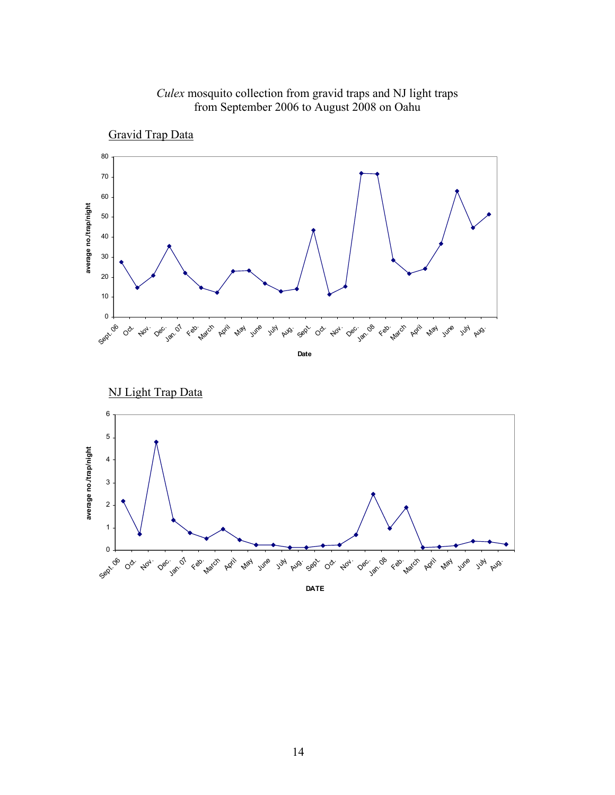